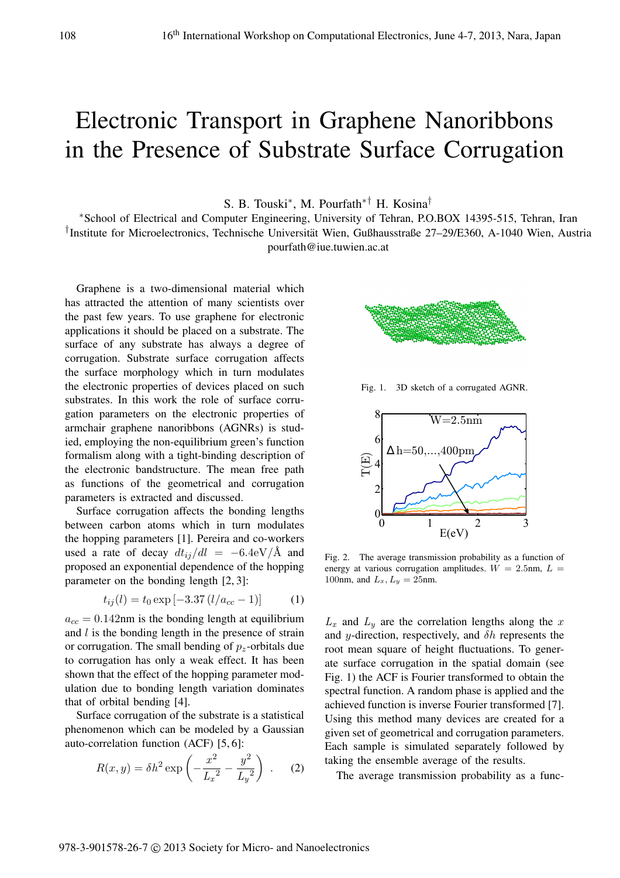## Electronic Transport in Graphene Nanoribbons in the Presence of Substrate Surface Corrugation

S. B. Touski<sup>∗</sup> , M. Pourfath∗† H. Kosina†

<sup>∗</sup>School of Electrical and Computer Engineering, University of Tehran, P.O.BOX 14395-515, Tehran, Iran † Institute for Microelectronics, Technische Universitat Wien, Gußhausstraße 27–29/E360, A-1040 Wien, Austria ¨ pourfath@iue.tuwien.ac.at

Graphene is a two-dimensional material which has attracted the attention of many scientists over the past few years. To use graphene for electronic applications it should be placed on a substrate. The surface of any substrate has always a degree of corrugation. Substrate surface corrugation affects the surface morphology which in turn modulates the electronic properties of devices placed on such substrates. In this work the role of surface corrugation parameters on the electronic properties of armchair graphene nanoribbons (AGNRs) is studied, employing the non-equilibrium green's function formalism along with a tight-binding description of the electronic bandstructure. The mean free path as functions of the geometrical and corrugation parameters is extracted and discussed.

Surface corrugation affects the bonding lengths between carbon atoms which in turn modulates the hopping parameters [1]. Pereira and co-workers used a rate of decay  $dt_{ii}/dl = -6.4 \text{eV}/\text{\AA}$  and proposed an exponential dependence of the hopping parameter on the bonding length [2, 3]:

$$
t_{ij}(l) = t_0 \exp[-3.37 (l/a_{cc} - 1)] \tag{1}
$$

 $a_{cc} = 0.142$ nm is the bonding length at equilibrium and  $l$  is the bonding length in the presence of strain or corrugation. The small bending of  $p<sub>z</sub>$ -orbitals due to corrugation has only a weak effect. It has been shown that the effect of the hopping parameter modulation due to bonding length variation dominates that of orbital bending [4].

Surface corrugation of the substrate is a statistical phenomenon which can be modeled by a Gaussian auto-correlation function (ACF) [5, 6]:

$$
R(x, y) = \delta h^2 \exp\left(-\frac{x^2}{L_x^2} - \frac{y^2}{L_y^2}\right) .
$$
 (2)



Fig. 1. 3D sketch of a corrugated AGNR.



Fig. 2. The average transmission probability as a function of energy at various corrugation amplitudes.  $W = 2.5$ nm,  $L =$ 100nm, and  $L_x$ ,  $L_y = 25$ nm.

 $L_x$  and  $L_y$  are the correlation lengths along the x and y-direction, respectively, and  $\delta h$  represents the root mean square of height fluctuations. To generate surface corrugation in the spatial domain (see Fig. 1) the ACF is Fourier transformed to obtain the spectral function. A random phase is applied and the achieved function is inverse Fourier transformed [7]. Using this method many devices are created for a given set of geometrical and corrugation parameters. Each sample is simulated separately followed by taking the ensemble average of the results.

The average transmission probability as a func-